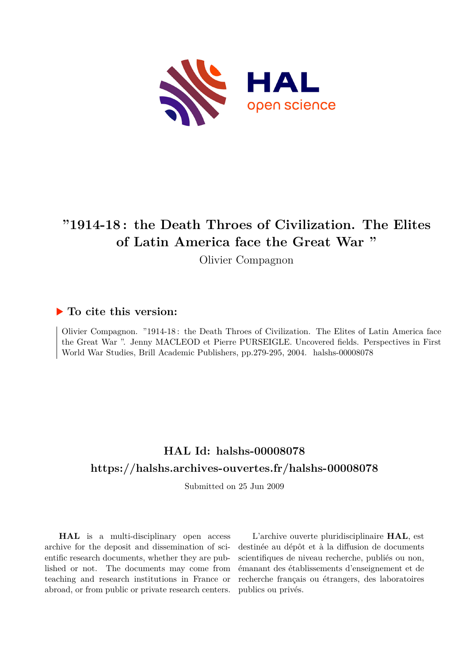

# **"1914-18 : the Death Throes of Civilization. The Elites of Latin America face the Great War "**

Olivier Compagnon

### **To cite this version:**

Olivier Compagnon. "1914-18 : the Death Throes of Civilization. The Elites of Latin America face the Great War ". Jenny MACLEOD et Pierre PURSEIGLE. Uncovered fields. Perspectives in First World War Studies, Brill Academic Publishers, pp.279-295, 2004. halshs-00008078

## **HAL Id: halshs-00008078 <https://halshs.archives-ouvertes.fr/halshs-00008078>**

Submitted on 25 Jun 2009

**HAL** is a multi-disciplinary open access archive for the deposit and dissemination of scientific research documents, whether they are published or not. The documents may come from teaching and research institutions in France or abroad, or from public or private research centers.

L'archive ouverte pluridisciplinaire **HAL**, est destinée au dépôt et à la diffusion de documents scientifiques de niveau recherche, publiés ou non, émanant des établissements d'enseignement et de recherche français ou étrangers, des laboratoires publics ou privés.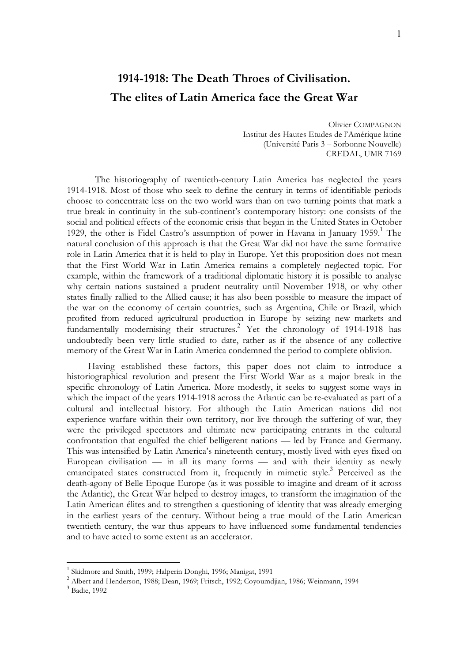## **1914-1918: The Death Throes of Civilisation. The elites of Latin America face the Great War**

Olivier COMPAGNON Institut des Hautes Etudes de l'Amérique latine (Université Paris 3 – Sorbonne Nouvelle) CREDAL, UMR 7169

The historiography of twentieth-century Latin America has neglected the years 1914-1918. Most of those who seek to define the century in terms of identifiable periods choose to concentrate less on the two world wars than on two turning points that mark a true break in continuity in the sub-continent's contemporary history: one consists of the social and political effects of the economic crisis that began in the United States in October 1929, the other is Fidel Castro's assumption of power in Havana in January 1959.<sup>1</sup> The natural conclusion of this approach is that the Great War did not have the same formative role in Latin America that it is held to play in Europe. Yet this proposition does not mean that the First World War in Latin America remains a completely neglected topic. For example, within the framework of a traditional diplomatic history it is possible to analyse why certain nations sustained a prudent neutrality until November 1918, or why other states finally rallied to the Allied cause; it has also been possible to measure the impact of the war on the economy of certain countries, such as Argentina, Chile or Brazil, which profited from reduced agricultural production in Europe by seizing new markets and fundamentally modernising their structures.<sup>2</sup> Yet the chronology of 1914-1918 has undoubtedly been very little studied to date, rather as if the absence of any collective memory of the Great War in Latin America condemned the period to complete oblivion.

Having established these factors, this paper does not claim to introduce a historiographical revolution and present the First World War as a major break in the specific chronology of Latin America. More modestly, it seeks to suggest some ways in which the impact of the years 1914-1918 across the Atlantic can be re-evaluated as part of a cultural and intellectual history. For although the Latin American nations did not experience warfare within their own territory, nor live through the suffering of war, they were the privileged spectators and ultimate new participating entrants in the cultural confrontation that engulfed the chief belligerent nations — led by France and Germany. This was intensified by Latin America's nineteenth century, mostly lived with eyes fixed on European civilisation — in all its many forms — and with their identity as newly emancipated states constructed from it, frequently in mimetic style.<sup>3</sup> Perceived as the death-agony of Belle Epoque Europe (as it was possible to imagine and dream of it across the Atlantic), the Great War helped to destroy images, to transform the imagination of the Latin American élites and to strengthen a questioning of identity that was already emerging in the earliest years of the century. Without being a true mould of the Latin American twentieth century, the war thus appears to have influenced some fundamental tendencies and to have acted to some extent as an accelerator.

 $\frac{1}{1}$ <sup>1</sup> Skidmore and Smith, 1999; Halperin Donghi, 1996; Manigat, 1991

Albert and Henderson, 1988; Dean, 1969; Fritsch, 1992; Coyoumdjian, 1986; Weinmann, 1994

<sup>3</sup> Badie, 1992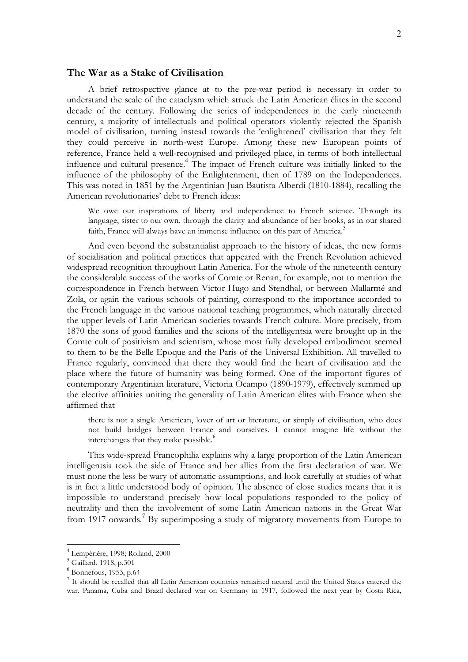#### **The War as a Stake of Civilisation**

A brief retrospective glance at to the pre-war period is necessary in order to understand the scale of the cataclysm which struck the Latin American élites in the second decade of the century. Following the series of independences in the early nineteenth century, a majority of intellectuals and political operators violently rejected the Spanish model of civilisation, turning instead towards the 'enlightened' civilisation that they felt they could perceive in north-west Europe. Among these new European points of reference, France held a well-recognised and privileged place, in terms of both intellectual influence and cultural presence.<sup>4</sup> The impact of French culture was initially linked to the influence of the philosophy of the Enlightenment, then of 1789 on the Independences. This was noted in 1851 by the Argentinian Juan Bautista Alberdi (1810-1884), recalling the American revolutionaries' debt to French ideas:

We owe our inspirations of liberty and independence to French science. Through its language, sister to our own, through the clarity and abundance of her books, as in our shared faith, France will always have an immense influence on this part of America.<sup>5</sup>

And even beyond the substantialist approach to the history of ideas, the new forms of socialisation and political practices that appeared with the French Revolution achieved widespread recognition throughout Latin America. For the whole of the nineteenth century the considerable success of the works of Comte or Renan, for example, not to mention the correspondence in French between Victor Hugo and Stendhal, or between Mallarmé and Zola, or again the various schools of painting, correspond to the importance accorded to the French language in the various national teaching programmes, which naturally directed the upper levels of Latin American societies towards French culture. More precisely, from 1870 the sons of good families and the scions of the intelligentsia were brought up in the Comte cult of positivism and scientism, whose most fully developed embodiment seemed to them to be the Belle Epoque and the Paris of the Universal Exhibition. All travelled to France regularly, convinced that there they would find the heart of civilisation and the place where the future of humanity was being formed. One of the important figures of contemporary Argentinian literature, Victoria Ocampo (1890-1979), effectively summed up the elective affinities uniting the generality of Latin American élites with France when she affirmed that

there is not a single American, lover of art or literature, or simply of civilisation, who does not build bridges between France and ourselves. I cannot imagine life without the interchanges that they make possible.<sup>6</sup>

This wide-spread Francophilia explains why a large proportion of the Latin American intelligentsia took the side of France and her allies from the first declaration of war. We must none the less be wary of automatic assumptions, and look carefully at studies of what is in fact a little understood body of opinion. The absence of close studies means that it is impossible to understand precisely how local populations responded to the policy of neutrality and then the involvement of some Latin American nations in the Great War from 1917 onwards.<sup>7</sup> By superimposing a study of migratory movements from Europe to

 $\frac{1}{4}$ Lempérière, 1998; Rolland, 2000

<sup>5</sup> Gaillard, 1918, p.301

 $6$  Bonnefous, 1953, p.64

<sup>&</sup>lt;sup>7</sup> It should be recalled that all Latin American countries remained neutral until the United States entered the war. Panama, Cuba and Brazil declared war on Germany in 1917, followed the next year by Costa Rica,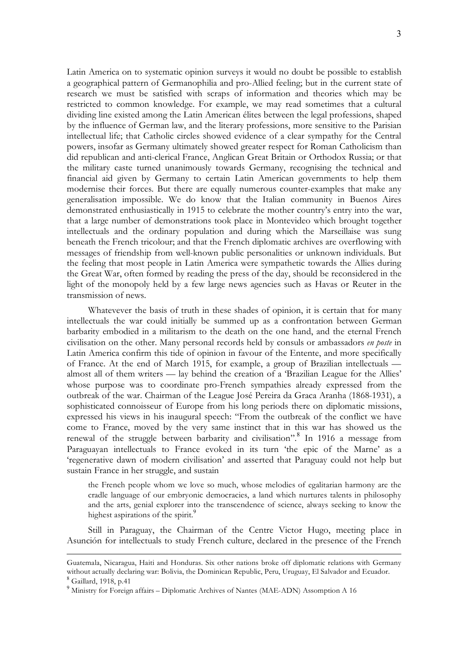Latin America on to systematic opinion surveys it would no doubt be possible to establish a geographical pattern of Germanophilia and pro-Allied feeling; but in the current state of research we must be satisfied with scraps of information and theories which may be restricted to common knowledge. For example, we may read sometimes that a cultural dividing line existed among the Latin American élites between the legal professions, shaped by the influence of German law, and the literary professions, more sensitive to the Parisian intellectual life; that Catholic circles showed evidence of a clear sympathy for the Central powers, insofar as Germany ultimately showed greater respect for Roman Catholicism than did republican and anti-clerical France, Anglican Great Britain or Orthodox Russia; or that the military caste turned unanimously towards Germany, recognising the technical and financial aid given by Germany to certain Latin American governments to help them modernise their forces. But there are equally numerous counter-examples that make any generalisation impossible. We do know that the Italian community in Buenos Aires demonstrated enthusiastically in 1915 to celebrate the mother country's entry into the war, that a large number of demonstrations took place in Montevideo which brought together intellectuals and the ordinary population and during which the Marseillaise was sung beneath the French tricolour; and that the French diplomatic archives are overflowing with messages of friendship from well-known public personalities or unknown individuals. But the feeling that most people in Latin America were sympathetic towards the Allies during the Great War, often formed by reading the press of the day, should be reconsidered in the light of the monopoly held by a few large news agencies such as Havas or Reuter in the transmission of news.

Whatevever the basis of truth in these shades of opinion, it is certain that for many intellectuals the war could initially be summed up as a confrontation between German barbarity embodied in a militarism to the death on the one hand, and the eternal French civilisation on the other. Many personal records held by consuls or ambassadors *en poste* in Latin America confirm this tide of opinion in favour of the Entente, and more specifically of France. At the end of March 1915, for example, a group of Brazilian intellectuals almost all of them writers — lay behind the creation of a 'Brazilian League for the Allies' whose purpose was to coordinate pro-French sympathies already expressed from the outbreak of the war. Chairman of the League José Pereira da Graca Aranha (1868-1931), a sophisticated connoisseur of Europe from his long periods there on diplomatic missions, expressed his views in his inaugural speech: "From the outbreak of the conflict we have come to France, moved by the very same instinct that in this war has showed us the renewal of the struggle between barbarity and civilisation".<sup>8</sup> In 1916 a message from Paraguayan intellectuals to France evoked in its turn 'the epic of the Marne' as a 'regenerative dawn of modern civilisation' and asserted that Paraguay could not help but sustain France in her struggle, and sustain

the French people whom we love so much, whose melodies of egalitarian harmony are the cradle language of our embryonic democracies, a land which nurtures talents in philosophy and the arts, genial explorer into the transcendence of science, always seeking to know the highest aspirations of the spirit.<sup>9</sup>

Still in Paraguay, the Chairman of the Centre Victor Hugo, meeting place in Asunción for intellectuals to study French culture, declared in the presence of the French

 $\overline{a}$ 

Guatemala, Nicaragua, Haiti and Honduras. Six other nations broke off diplomatic relations with Germany without actually declaring war: Bolivia, the Dominican Republic, Peru, Uruguay, El Salvador and Ecuador. 8 Gaillard, 1918, p.41

<sup>&</sup>lt;sup>9</sup> Ministry for Foreign affairs – Diplomatic Archives of Nantes (MAE-ADN) Assomption A 16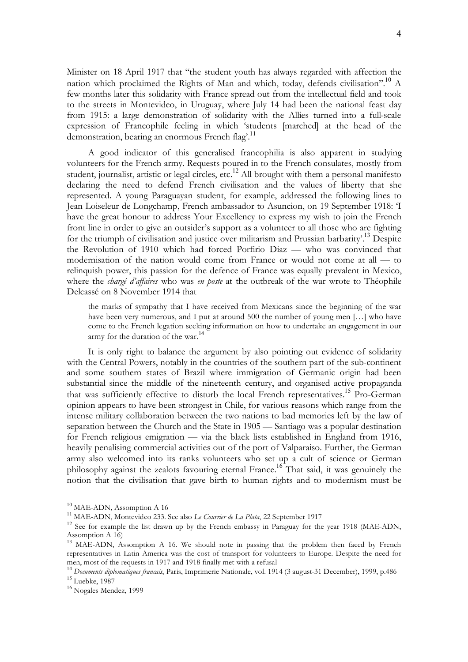Minister on 18 April 1917 that "the student youth has always regarded with affection the nation which proclaimed the Rights of Man and which, today, defends civilisation".<sup>10</sup> A few months later this solidarity with France spread out from the intellectual field and took to the streets in Montevideo, in Uruguay, where July 14 had been the national feast day from 1915: a large demonstration of solidarity with the Allies turned into a full-scale expression of Francophile feeling in which 'students [marched] at the head of the demonstration, bearing an enormous French flag'.<sup>11</sup>

A good indicator of this generalised francophilia is also apparent in studying volunteers for the French army. Requests poured in to the French consulates, mostly from student, journalist, artistic or legal circles, etc.<sup>12</sup> All brought with them a personal manifesto declaring the need to defend French civilisation and the values of liberty that she represented. A young Paraguayan student, for example, addressed the following lines to Jean Loiseleur de Longchamp, French ambassador to Asuncion, on 19 September 1918: 'I have the great honour to address Your Excellency to express my wish to join the French front line in order to give an outsider's support as a volunteer to all those who are fighting for the triumph of civilisation and justice over militarism and Prussian barbarity.<sup>13</sup> Despite the Revolution of 1910 which had forced Porfirio Diaz — who was convinced that modernisation of the nation would come from France or would not come at all — to relinquish power, this passion for the defence of France was equally prevalent in Mexico, where the *chargé d'affaires* who was *en poste* at the outbreak of the war wrote to Théophile Delcassé on 8 November 1914 that

the marks of sympathy that I have received from Mexicans since the beginning of the war have been very numerous, and I put at around 500 the number of young men […] who have come to the French legation seeking information on how to undertake an engagement in our army for the duration of the war.<sup>14</sup>

It is only right to balance the argument by also pointing out evidence of solidarity with the Central Powers, notably in the countries of the southern part of the sub-continent and some southern states of Brazil where immigration of Germanic origin had been substantial since the middle of the nineteenth century, and organised active propaganda that was sufficiently effective to disturb the local French representatives.<sup>15</sup> Pro-German opinion appears to have been strongest in Chile, for various reasons which range from the intense military collaboration between the two nations to bad memories left by the law of separation between the Church and the State in 1905 — Santiago was a popular destination for French religious emigration — via the black lists established in England from 1916, heavily penalising commercial activities out of the port of Valparaiso. Further, the German army also welcomed into its ranks volunteers who set up a cult of science or German philosophy against the zealots favouring eternal France.<sup>16</sup> That said, it was genuinely the notion that the civilisation that gave birth to human rights and to modernism must be

<sup>&</sup>lt;sup>10</sup> MAE-ADN, Assomption A 16<br><sup>11</sup> MAE-ADN, Montevideo 233. See also *Le Courrier de La Plata*, 22 September 1917<br><sup>12</sup> See for example the list drawn up by the French embassy in Paraguay for the year 1918 (MAE-ADN, Assomption A 16)

<sup>&</sup>lt;sup>13</sup> MAE-ADN, Assomption A 16. We should note in passing that the problem then faced by French representatives in Latin America was the cost of transport for volunteers to Europe. Despite the need for men, most of the requests in 1917 and 1918 finally met with a refusal

<sup>&</sup>lt;sup>14</sup> *Documents diplomatiques francais*, Paris, Imprimerie Nationale, vol. 1914 (3 august-31 December), 1999, p.486<br><sup>15</sup> Luebke, 1987<br><sup>16</sup> Nogales Mendez, 1999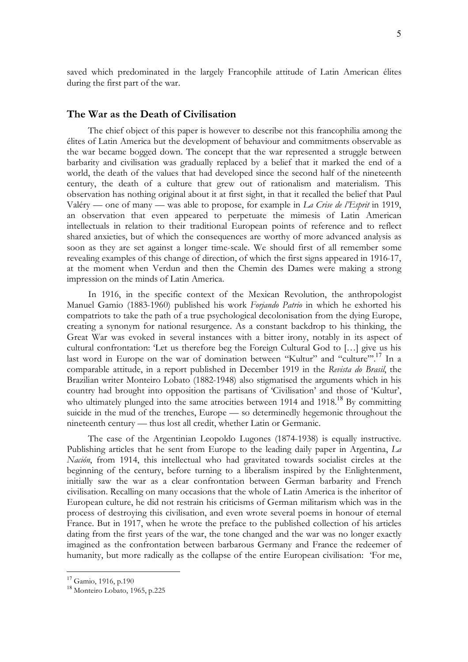saved which predominated in the largely Francophile attitude of Latin American élites during the first part of the war.

#### **The War as the Death of Civilisation**

The chief object of this paper is however to describe not this francophilia among the élites of Latin America but the development of behaviour and commitments observable as the war became bogged down. The concept that the war represented a struggle between barbarity and civilisation was gradually replaced by a belief that it marked the end of a world, the death of the values that had developed since the second half of the nineteenth century, the death of a culture that grew out of rationalism and materialism. This observation has nothing original about it at first sight, in that it recalled the belief that Paul Valéry — one of many — was able to propose, for example in *La Crise de l'Esprit* in 1919, an observation that even appeared to perpetuate the mimesis of Latin American intellectuals in relation to their traditional European points of reference and to reflect shared anxieties, but of which the consequences are worthy of more advanced analysis as soon as they are set against a longer time-scale. We should first of all remember some revealing examples of this change of direction, of which the first signs appeared in 1916-17, at the moment when Verdun and then the Chemin des Dames were making a strong impression on the minds of Latin America.

In 1916, in the specific context of the Mexican Revolution, the anthropologist Manuel Gamio (1883-1960) published his work *Forjando Patrio* in which he exhorted his compatriots to take the path of a true psychological decolonisation from the dying Europe, creating a synonym for national resurgence. As a constant backdrop to his thinking, the Great War was evoked in several instances with a bitter irony, notably in its aspect of cultural confrontation: 'Let us therefore beg the Foreign Cultural God to […] give us his last word in Europe on the war of domination between "Kultur" and "culture".<sup>17</sup> In a comparable attitude, in a report published in December 1919 in the *Revista do Brasil*, the Brazilian writer Monteiro Lobato (1882-1948) also stigmatised the arguments which in his country had brought into opposition the partisans of 'Civilisation' and those of 'Kultur', who ultimately plunged into the same atrocities between 1914 and 1918.<sup>18</sup> By committing suicide in the mud of the trenches, Europe — so determinedly hegemonic throughout the nineteenth century — thus lost all credit, whether Latin or Germanic.

The case of the Argentinian Leopoldo Lugones (1874-1938) is equally instructive. Publishing articles that he sent from Europe to the leading daily paper in Argentina, *La Nación*, from 1914, this intellectual who had gravitated towards socialist circles at the beginning of the century, before turning to a liberalism inspired by the Enlightenment, initially saw the war as a clear confrontation between German barbarity and French civilisation. Recalling on many occasions that the whole of Latin America is the inheritor of European culture, he did not restrain his criticisms of German militarism which was in the process of destroying this civilisation, and even wrote several poems in honour of eternal France. But in 1917, when he wrote the preface to the published collection of his articles dating from the first years of the war, the tone changed and the war was no longer exactly imagined as the confrontation between barbarous Germany and France the redeemer of humanity, but more radically as the collapse of the entire European civilisation: 'For me,

<sup>&</sup>lt;sup>17</sup> Gamio, 1916, p.190<br><sup>18</sup> Monteiro Lobato, 1965, p.225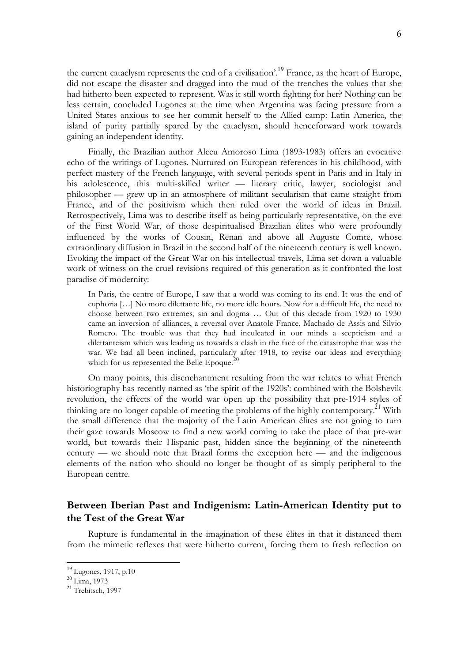the current cataclysm represents the end of a civilisation'.<sup>19</sup> France, as the heart of Europe, did not escape the disaster and dragged into the mud of the trenches the values that she had hitherto been expected to represent. Was it still worth fighting for her? Nothing can be less certain, concluded Lugones at the time when Argentina was facing pressure from a United States anxious to see her commit herself to the Allied camp: Latin America, the island of purity partially spared by the cataclysm, should henceforward work towards gaining an independent identity.

Finally, the Brazilian author Alceu Amoroso Lima (1893-1983) offers an evocative echo of the writings of Lugones. Nurtured on European references in his childhood, with perfect mastery of the French language, with several periods spent in Paris and in Italy in his adolescence, this multi-skilled writer — literary critic, lawyer, sociologist and philosopher — grew up in an atmosphere of militant secularism that came straight from France, and of the positivism which then ruled over the world of ideas in Brazil. Retrospectively, Lima was to describe itself as being particularly representative, on the eve of the First World War, of those despiritualised Brazilian élites who were profoundly influenced by the works of Cousin, Renan and above all Auguste Comte, whose extraordinary diffusion in Brazil in the second half of the nineteenth century is well known. Evoking the impact of the Great War on his intellectual travels, Lima set down a valuable work of witness on the cruel revisions required of this generation as it confronted the lost paradise of modernity:

In Paris, the centre of Europe, I saw that a world was coming to its end. It was the end of euphoria […] No more dilettante life, no more idle hours. Now for a difficult life, the need to choose between two extremes, sin and dogma … Out of this decade from 1920 to 1930 came an inversion of alliances, a reversal over Anatole France, Machado de Assis and Silvio Romero. The trouble was that they had inculcated in our minds a scepticism and a dilettanteism which was leading us towards a clash in the face of the catastrophe that was the war. We had all been inclined, particularly after 1918, to revise our ideas and everything which for us represented the Belle Epoque.<sup>20</sup>

On many points, this disenchantment resulting from the war relates to what French historiography has recently named as 'the spirit of the 1920s': combined with the Bolshevik revolution, the effects of the world war open up the possibility that pre-1914 styles of thinking are no longer capable of meeting the problems of the highly contemporary.<sup>21</sup> With the small difference that the majority of the Latin American élites are not going to turn their gaze towards Moscow to find a new world coming to take the place of that pre-war world, but towards their Hispanic past, hidden since the beginning of the nineteenth century — we should note that Brazil forms the exception here — and the indigenous elements of the nation who should no longer be thought of as simply peripheral to the European centre.

### **Between Iberian Past and Indigenism: Latin-American Identity put to the Test of the Great War**

Rupture is fundamental in the imagination of these élites in that it distanced them from the mimetic reflexes that were hitherto current, forcing them to fresh reflection on

 $^{19}$  Lugones, 1917, p.10<br> $^{20}$  Lima, 1973

 $21$  Trebitsch, 1997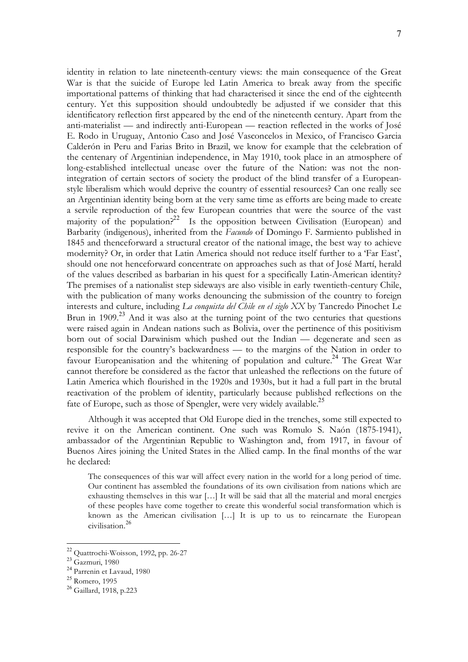identity in relation to late nineteenth-century views: the main consequence of the Great War is that the suicide of Europe led Latin America to break away from the specific importational patterns of thinking that had characterised it since the end of the eighteenth century. Yet this supposition should undoubtedly be adjusted if we consider that this identificatory reflection first appeared by the end of the nineteenth century. Apart from the anti-materialist — and indirectly anti-European — reaction reflected in the works of José E. Rodo in Uruguay, Antonio Caso and José Vasconcelos in Mexico, of Francisco Garcia Calderón in Peru and Farias Brito in Brazil, we know for example that the celebration of the centenary of Argentinian independence, in May 1910, took place in an atmosphere of long-established intellectual unease over the future of the Nation: was not the nonintegration of certain sectors of society the product of the blind transfer of a Europeanstyle liberalism which would deprive the country of essential resources? Can one really see an Argentinian identity being born at the very same time as efforts are being made to create a servile reproduction of the few European countries that were the source of the vast majority of the population?<sup>22</sup> Is the opposition between Civilisation (European) and Barbarity (indigenous), inherited from the *Facundo* of Domingo F. Sarmiento published in 1845 and thenceforward a structural creator of the national image, the best way to achieve modernity? Or, in order that Latin America should not reduce itself further to a 'Far East', should one not henceforward concentrate on approaches such as that of José Martí, herald of the values described as barbarian in his quest for a specifically Latin-American identity? The premises of a nationalist step sideways are also visible in early twentieth-century Chile, with the publication of many works denouncing the submission of the country to foreign interests and culture, including *La conquista del Chile en el siglo XX* by Tancredo Pinochet Le Brun in  $1909<sup>23</sup>$  And it was also at the turning point of the two centuries that questions were raised again in Andean nations such as Bolivia, over the pertinence of this positivism born out of social Darwinism which pushed out the Indian — degenerate and seen as responsible for the country's backwardness — to the margins of the Nation in order to favour Europeanisation and the whitening of population and culture.<sup>24</sup> The Great War cannot therefore be considered as the factor that unleashed the reflections on the future of Latin America which flourished in the 1920s and 1930s, but it had a full part in the brutal reactivation of the problem of identity, particularly because published reflections on the fate of Europe, such as those of Spengler, were very widely available.<sup>25</sup>

Although it was accepted that Old Europe died in the trenches, some still expected to revive it on the American continent. One such was Romulo S. Naón (1875-1941), ambassador of the Argentinian Republic to Washington and, from 1917, in favour of Buenos Aires joining the United States in the Allied camp. In the final months of the war he declared:

The consequences of this war will affect every nation in the world for a long period of time. Our continent has assembled the foundations of its own civilisation from nations which are exhausting themselves in this war […] It will be said that all the material and moral energies of these peoples have come together to create this wonderful social transformation which is known as the American civilisation […] It is up to us to reincarnate the European civilisation.<sup>26</sup>

<sup>&</sup>lt;sup>22</sup> Quattrochi-Woisson, 1992, pp. 26-27<br><sup>23</sup> Gazmuri, 1980<br><sup>24</sup> Parrenin et Lavaud, 1980<br><sup>25</sup> Romero, 1995<br><sup>26</sup> Gaillard, 1918, p.223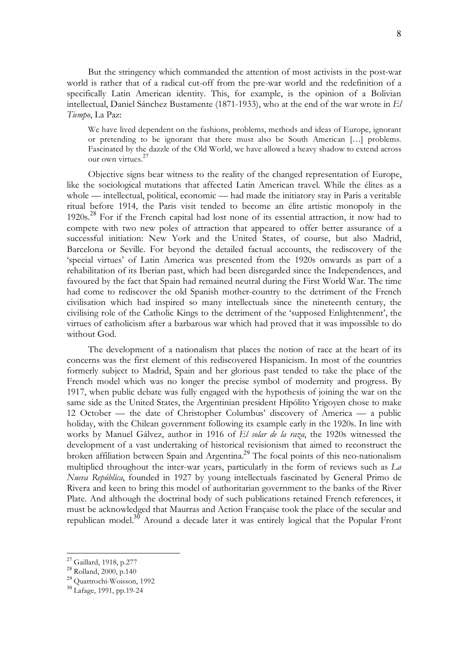But the stringency which commanded the attention of most activists in the post-war world is rather that of a radical cut-off from the pre-war world and the redefinition of a specifically Latin American identity. This, for example, is the opinion of a Bolivian intellectual, Daniel Sánchez Bustamente (1871-1933), who at the end of the war wrote in *El Tiempo*, La Paz:

We have lived dependent on the fashions, problems, methods and ideas of Europe, ignorant or pretending to be ignorant that there must also be South American […] problems. Fascinated by the dazzle of the Old World, we have allowed a heavy shadow to extend across our own virtues.<sup>27</sup>

Objective signs bear witness to the reality of the changed representation of Europe, like the sociological mutations that affected Latin American travel. While the élites as a whole — intellectual, political, economic — had made the initiatory stay in Paris a veritable ritual before 1914, the Paris visit tended to become an élite artistic monopoly in the 1920s.<sup>28</sup> For if the French capital had lost none of its essential attraction, it now had to compete with two new poles of attraction that appeared to offer better assurance of a successful initiation: New York and the United States, of course, but also Madrid, Barcelona or Seville. For beyond the detailed factual accounts, the rediscovery of the 'special virtues' of Latin America was presented from the 1920s onwards as part of a rehabilitation of its Iberian past, which had been disregarded since the Independences, and favoured by the fact that Spain had remained neutral during the First World War. The time had come to rediscover the old Spanish mother-country to the detriment of the French civilisation which had inspired so many intellectuals since the nineteenth century, the civilising role of the Catholic Kings to the detriment of the 'supposed Enlightenment', the virtues of catholicism after a barbarous war which had proved that it was impossible to do without God.

The development of a nationalism that places the notion of race at the heart of its concerns was the first element of this rediscovered Hispanicism. In most of the countries formerly subject to Madrid, Spain and her glorious past tended to take the place of the French model which was no longer the precise symbol of modernity and progress. By 1917, when public debate was fully engaged with the hypothesis of joining the war on the same side as the United States, the Argentinian president Hipólito Yrigoyen chose to make 12 October — the date of Christopher Columbus' discovery of America — a public holiday, with the Chilean government following its example early in the 1920s. In line with works by Manuel Gálvez, author in 1916 of *El solar de la raza*, the 1920s witnessed the development of a vast undertaking of historical revisionism that aimed to reconstruct the broken affiliation between Spain and Argentina.<sup>29</sup> The focal points of this neo-nationalism multiplied throughout the inter-war years, particularly in the form of reviews such as *La Nueva República*, founded in 1927 by young intellectuals fascinated by General Primo de Rivera and keen to bring this model of authoritarian government to the banks of the River Plate. And although the doctrinal body of such publications retained French references, it must be acknowledged that Maurras and Action Française took the place of the secular and republican model. $30$  Around a decade later it was entirely logical that the Popular Front

 <sup>27</sup> Gaillard, 1918, p.277

<sup>28</sup> Rolland, 2000, p.140

<sup>&</sup>lt;sup>29</sup> Quattrochi-Woisson, 1992<br><sup>30</sup> Lafage, 1991, pp.19-24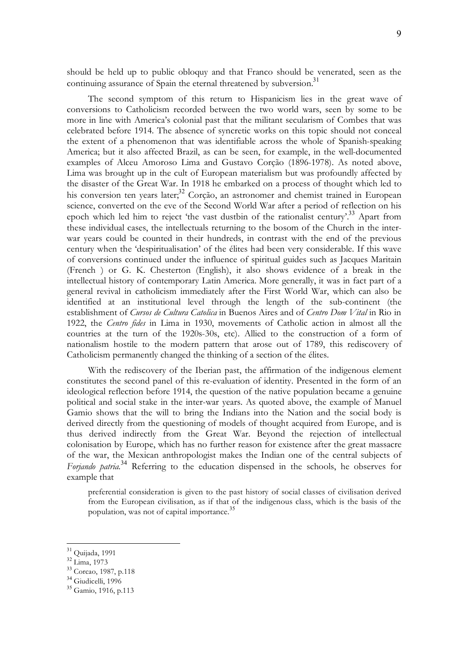should be held up to public obloquy and that Franco should be venerated, seen as the continuing assurance of Spain the eternal threatened by subversion.<sup>31</sup>

The second symptom of this return to Hispanicism lies in the great wave of conversions to Catholicism recorded between the two world wars, seen by some to be more in line with America's colonial past that the militant secularism of Combes that was celebrated before 1914. The absence of syncretic works on this topic should not conceal the extent of a phenomenon that was identifiable across the whole of Spanish-speaking America; but it also affected Brazil, as can be seen, for example, in the well-documented examples of Alceu Amoroso Lima and Gustavo Corção (1896-1978). As noted above, Lima was brought up in the cult of European materialism but was profoundly affected by the disaster of the Great War. In 1918 he embarked on a process of thought which led to his conversion ten years later;<sup>32</sup> Corção, an astronomer and chemist trained in European science, converted on the eve of the Second World War after a period of reflection on his epoch which led him to reject 'the vast dustbin of the rationalist century'.<sup>33</sup> Apart from these individual cases, the intellectuals returning to the bosom of the Church in the interwar years could be counted in their hundreds, in contrast with the end of the previous century when the 'despiritualisation' of the élites had been very considerable. If this wave of conversions continued under the influence of spiritual guides such as Jacques Maritain (French ) or G. K. Chesterton (English), it also shows evidence of a break in the intellectual history of contemporary Latin America. More generally, it was in fact part of a general revival in catholicism immediately after the First World War, which can also be identified at an institutional level through the length of the sub-continent (the establishment of *Cursos de Cultura Catolica* in Buenos Aires and of *Centro Dom Vital* in Rio in 1922, the *Centro fides* in Lima in 1930, movements of Catholic action in almost all the countries at the turn of the 1920s-30s, etc). Allied to the construction of a form of nationalism hostile to the modern pattern that arose out of 1789, this rediscovery of Catholicism permanently changed the thinking of a section of the élites.

With the rediscovery of the Iberian past, the affirmation of the indigenous element constitutes the second panel of this re-evaluation of identity. Presented in the form of an ideological reflection before 1914, the question of the native population became a genuine political and social stake in the inter-war years. As quoted above, the example of Manuel Gamio shows that the will to bring the Indians into the Nation and the social body is derived directly from the questioning of models of thought acquired from Europe, and is thus derived indirectly from the Great War. Beyond the rejection of intellectual colonisation by Europe, which has no further reason for existence after the great massacre of the war, the Mexican anthropologist makes the Indian one of the central subjects of *Forjando patria.*<sup>34</sup> Referring to the education dispensed in the schools, he observes for example that

preferential consideration is given to the past history of social classes of civilisation derived from the European civilisation, as if that of the indigenous class, which is the basis of the population, was not of capital importance.<sup>35</sup>

<sup>&</sup>lt;sup>31</sup> Quijada, 1991<br><sup>32</sup> Lima, 1973<br><sup>33</sup> Corcao, 1987, p.118<br><sup>34</sup> Giudicelli, 1996<br><sup>35</sup> Gamio, 1916, p.113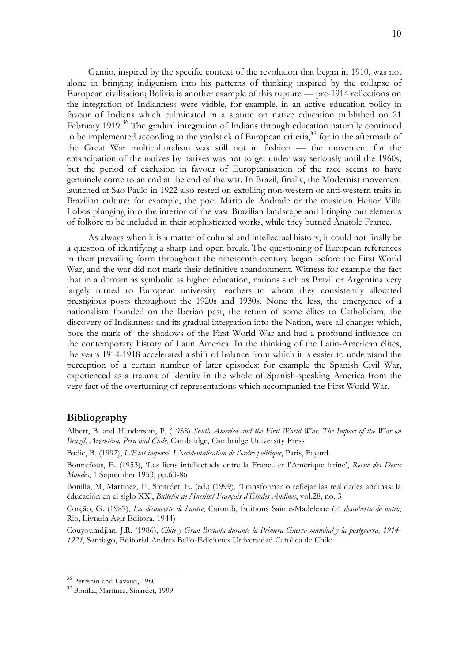Gamio, inspired by the specific context of the revolution that began in 1910, was not alone in bringing indigenism into his patterns of thinking inspired by the collapse of European civilisation; Bolivia is another example of this rupture — pre-1914 reflections on the integration of Indianness were visible, for example, in an active education policy in favour of Indians which culminated in a statute on native education published on 21 February 1919.<sup>36</sup> The gradual integration of Indians through education naturally continued to be implemented according to the vardstick of European criteria, $3^7$  for in the aftermath of the Great War multiculturalism was still not in fashion — the movement for the emancipation of the natives by natives was not to get under way seriously until the 1960s; but the period of exclusion in favour of Europeanisation of the race seems to have genuinely come to an end at the end of the war. In Brazil, finally, the Modernist movement launched at Sao Paulo in 1922 also rested on extolling non-western or anti-western traits in Brazilian culture: for example, the poet Mário de Andrade or the musician Heitor Villa Lobos plunging into the interior of the vast Brazilian landscape and bringing out elements of folkore to be included in their sophisticated works, while they burned Anatole France.

As always when it is a matter of cultural and intellectual history, it could not finally be a question of identifying a sharp and open break. The questioning of European references in their prevailing form throughout the nineteenth century began before the First World War, and the war did not mark their definitive abandonment. Witness for example the fact that in a domain as symbolic as higher education, nations such as Brazil or Argentina very largely turned to European university teachers to whom they consistently allocated prestigious posts throughout the 1920s and 1930s. None the less, the emergence of a nationalism founded on the Iberian past, the return of some élites to Catholicism, the discovery of Indianness and its gradual integration into the Nation, were all changes which, bore the mark of the shadows of the First World War and had a profound influence on the contemporary history of Latin America. In the thinking of the Latin-American élites, the years 1914-1918 accelerated a shift of balance from which it is easier to understand the perception of a certain number of later episodes: for example the Spanish Civil War, experienced as a trauma of identity in the whole of Spanish-speaking America from the very fact of the overturning of representations which accompanied the First World War.

#### **Bibliography**

Albert, B. and Henderson, P. (1988) *South America and the First World War. The Impact of the War on Brazil, Argentina, Peru and Chile*, Cambridge, Cambridge University Press

Badie, B. (1992), *L'État importé. L'occidentalisation de l'ordre politique*, Paris, Fayard.

Bonnefous, E. (1953), 'Les liens intellectuels entre la France et l'Amérique latine', *Revue des Deux Mondes*, 1 September 1953, pp.63-86

Bonilla, M, Martinez, F., Sinardet, E. (ed.) (1999), 'Transformar o reflejar las realidades andinas: la éducación en el siglo XX', *Bulletin de l'Institut Français d'Études Andines*, vol.28, no. 3

Corção, G. (1987), *La découverte de l'autre*, Caromb, Éditions Sainte-Madeleine (*A descoberta do outro*, Rio, Livraria Agir Editora, 1944)

Couyoumdjian, J.R. (1986), *Chile y Gran Bretaña durante la Primera Guerra mundial y la postguerra, 1914- 1921*, Santiago, Editorial Andres Bello-Ediciones Universidad Catolica de Chile

 <sup>36</sup> Perrenin and Lavaud, 1980

<sup>37</sup> Bonilla, Martinez, Sinardet, 1999